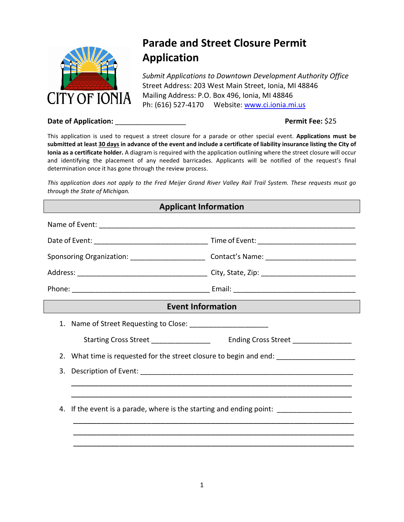

# **Parade and Street Closure Permit Application**

*Submit Applications to Downtown Development Authority Office* Street Address: 203 West Main Street, Ionia, MI 48846 Mailing Address: P.O. Box 496, Ionia, MI 48846 Ph: (616) 527-4170 Website: [www.ci.ionia.mi.us](http://www.ci.ionia.mi.us/)

### **Date of Application:** \_\_\_\_\_\_\_\_\_\_\_\_\_\_\_\_\_\_ **Permit Fee:** \$25

This application is used to request a street closure for a parade or other special event. **Applications must be submitted at least 30 days in advance of the event and include a certificate of liability insurance listing the City of Ionia as a certificate holder.** A diagram is required with the application outlining where the street closure will occur and identifying the placement of any needed barricades. Applicants will be notified of the request's final determination once it has gone through the review process.

*This application does not apply to the Fred Meijer Grand River Valley Rail Trail System. These requests must go through the State of Michigan.*

| <b>Applicant Information</b>                                                                         |                                                                                   |                                       |  |  |  |  |
|------------------------------------------------------------------------------------------------------|-----------------------------------------------------------------------------------|---------------------------------------|--|--|--|--|
|                                                                                                      |                                                                                   |                                       |  |  |  |  |
|                                                                                                      |                                                                                   |                                       |  |  |  |  |
| Sponsoring Organization: ___________________________________Contact's Name: ________________________ |                                                                                   |                                       |  |  |  |  |
|                                                                                                      |                                                                                   |                                       |  |  |  |  |
|                                                                                                      |                                                                                   |                                       |  |  |  |  |
| <b>Event Information</b>                                                                             |                                                                                   |                                       |  |  |  |  |
|                                                                                                      |                                                                                   |                                       |  |  |  |  |
|                                                                                                      | Starting Cross Street __________________                                          | Ending Cross Street _________________ |  |  |  |  |
|                                                                                                      | 2. What time is requested for the street closure to begin and end: ______________ |                                       |  |  |  |  |
| 3.                                                                                                   |                                                                                   |                                       |  |  |  |  |
|                                                                                                      |                                                                                   |                                       |  |  |  |  |
| 4. If the event is a parade, where is the starting and ending point: ___________________             |                                                                                   |                                       |  |  |  |  |
|                                                                                                      |                                                                                   |                                       |  |  |  |  |
|                                                                                                      |                                                                                   |                                       |  |  |  |  |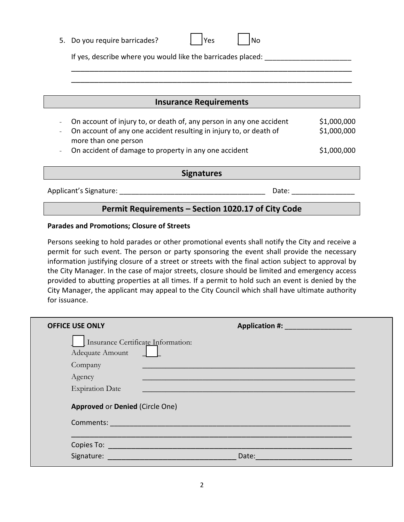|                                 | 5. Do you require barricades?<br>Yes<br>No                                                                                                                         |             |  |  |  |  |  |
|---------------------------------|--------------------------------------------------------------------------------------------------------------------------------------------------------------------|-------------|--|--|--|--|--|
|                                 | If yes, describe where you would like the barricades placed:                                                                                                       |             |  |  |  |  |  |
|                                 |                                                                                                                                                                    |             |  |  |  |  |  |
|                                 |                                                                                                                                                                    |             |  |  |  |  |  |
| <b>Insurance Requirements</b>   |                                                                                                                                                                    |             |  |  |  |  |  |
|                                 | On account of injury to, or death of, any person in any one accident<br>On account of any one accident resulting in injury to, or death of<br>more than one person |             |  |  |  |  |  |
|                                 | On accident of damage to property in any one accident                                                                                                              | \$1,000,000 |  |  |  |  |  |
| <b>Signatures</b>               |                                                                                                                                                                    |             |  |  |  |  |  |
| Applicant's Signature:<br>Date: |                                                                                                                                                                    |             |  |  |  |  |  |

## **Permit Requirements – Section 1020.17 of City Code**

### **Parades and Promotions; Closure of Streets**

Persons seeking to hold parades or other promotional events shall notify the City and receive a permit for such event. The person or party sponsoring the event shall provide the necessary information justifying closure of a street or streets with the final action subject to approval by the City Manager. In the case of major streets, closure should be limited and emergency access provided to abutting properties at all times. If a permit to hold such an event is denied by the City Manager, the applicant may appeal to the City Council which shall have ultimate authority for issuance.

| <b>OFFICE USE ONLY</b>                                                                                                                                                                                                         | Application #: Network and Application #: |
|--------------------------------------------------------------------------------------------------------------------------------------------------------------------------------------------------------------------------------|-------------------------------------------|
| Insurance Certificate Information:<br>Adequate Amount                                                                                                                                                                          |                                           |
| Company                                                                                                                                                                                                                        |                                           |
| Agency                                                                                                                                                                                                                         |                                           |
| <b>Expiration Date</b>                                                                                                                                                                                                         |                                           |
| <b>Approved or Denied (Circle One)</b>                                                                                                                                                                                         |                                           |
| <b>Comments: Comments: Comments: Comments: Comments: Comments: Comments: Comments: Comments: Comments: Comments: Comments: Comments: Comments: </b>                                                                            |                                           |
|                                                                                                                                                                                                                                |                                           |
|                                                                                                                                                                                                                                |                                           |
| Signature: The Company of the Company of the Company of the Company of the Company of the Company of the Company of the Company of the Company of the Company of the Company of the Company of the Company of the Company of t | Date:                                     |